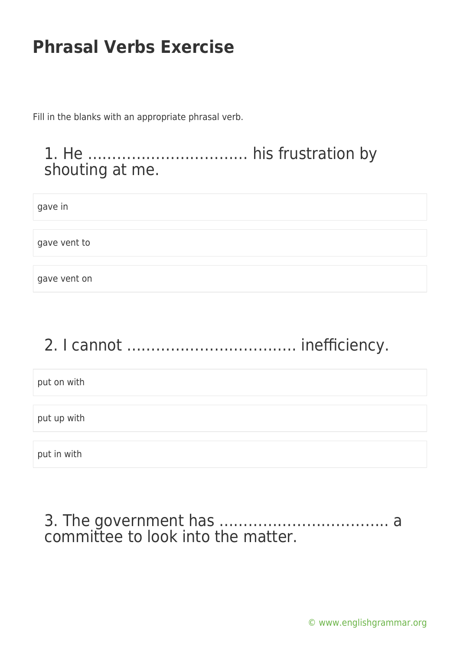Fill in the blanks with an appropriate phrasal verb.

### 1. He …………………………… his frustration by shouting at me.

gave in

gave vent to

gave vent on

# 2. I cannot …………………………….. inefficiency.

put on with

put up with

put in with

#### 3. The government has …………………………….. a committee to look into the matter.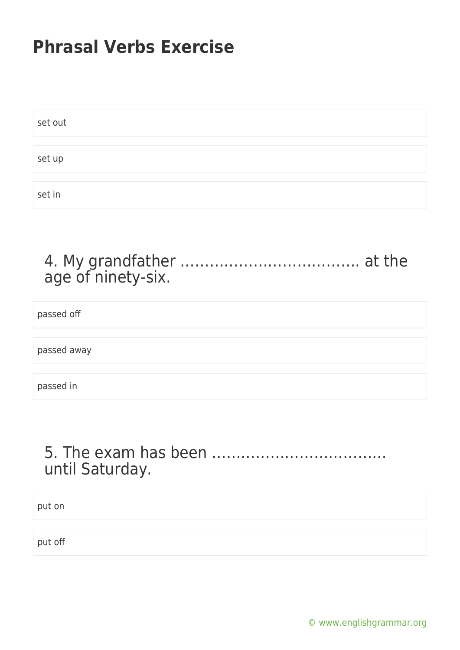| set out |  |  |  |
|---------|--|--|--|
|         |  |  |  |
| set up  |  |  |  |
|         |  |  |  |
| set in  |  |  |  |

### 4. My grandfather ………………………………. at the age of ninety-six.

passed off

passed away

passed in

### 5. The exam has been ……………………………… until Saturday.

put on

put off

[© www.englishgrammar.org](https://www.englishgrammar.org/)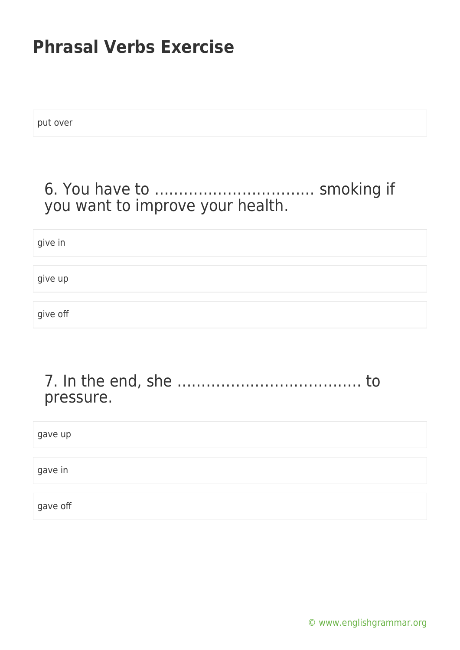put over

### 6. You have to …………………………… smoking if you want to improve your health.

give in give up give off

#### 7. In the end, she ……………………………….. to pressure.

| gave up  |  |  |  |
|----------|--|--|--|
|          |  |  |  |
| gave in  |  |  |  |
|          |  |  |  |
| gave off |  |  |  |

[© www.englishgrammar.org](https://www.englishgrammar.org/)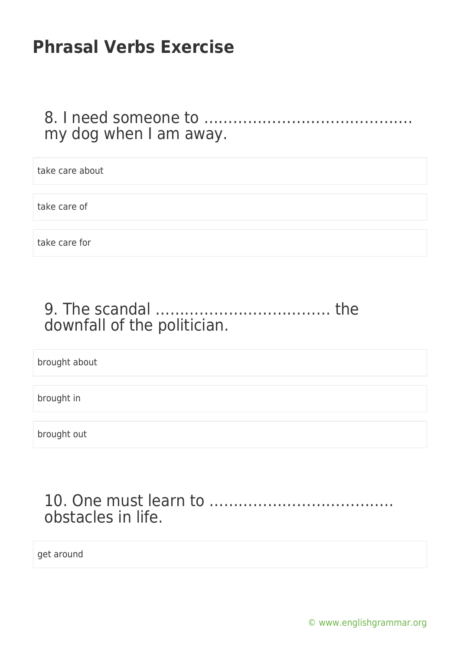### 8. I need someone to ……………………………………. my dog when I am away.

take care about take care of take care for

## 9. The scandal ……………………………… the downfall of the politician.

brought about

brought in

brought out

### 10. One must learn to ……………………………….. obstacles in life.

get around

[© www.englishgrammar.org](https://www.englishgrammar.org/)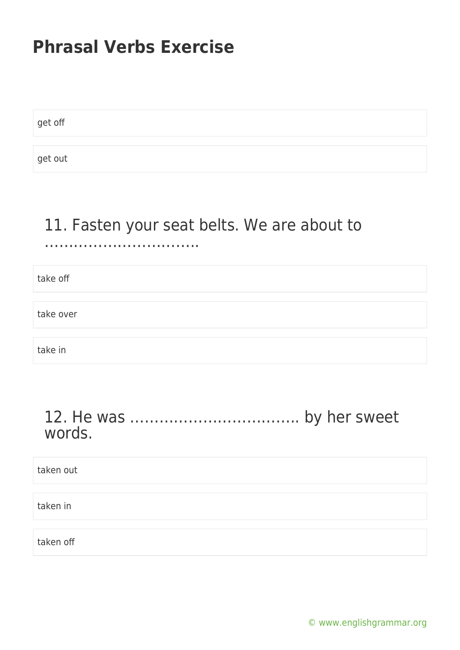get off

get out

#### 11. Fasten your seat belts. We are about to …………………………..

take off take over take in

#### 12. He was …………………………….. by her sweet words.

taken out taken in taken off